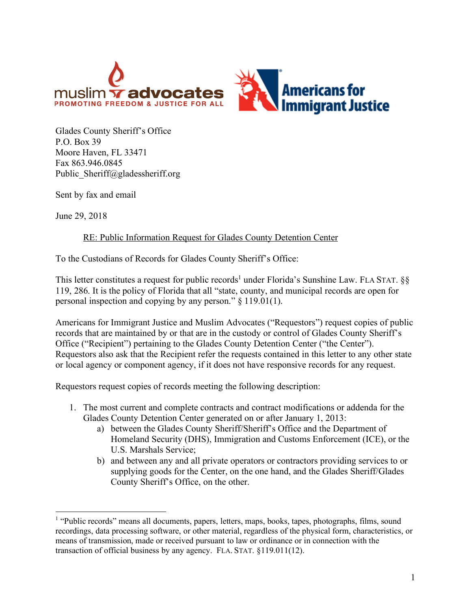

Glades County Sheriff's Office P.O. Box 39 Moore Haven, FL 33471 Fax 863.946.0845 Public\_Sheriff@gladessheriff.org

Sent by fax and email

June 29, 2018

## RE: Public Information Request for Glades County Detention Center

To the Custodians of Records for Glades County Sheriff's Office:

This letter constitutes a request for public records<sup>1</sup> under Florida's Sunshine Law. FLA STAT.  $\S$ § 119, 286. It is the policy of Florida that all "state, county, and municipal records are open for personal inspection and copying by any person." § 119.01(1).

Americans for Immigrant Justice and Muslim Advocates ("Requestors") request copies of public records that are maintained by or that are in the custody or control of Glades County Sheriff's Office ("Recipient") pertaining to the Glades County Detention Center ("the Center"). Requestors also ask that the Recipient refer the requests contained in this letter to any other state or local agency or component agency, if it does not have responsive records for any request.

Requestors request copies of records meeting the following description:

- 1. The most current and complete contracts and contract modifications or addenda for the Glades County Detention Center generated on or after January 1, 2013:
	- a) between the Glades County Sheriff/Sheriff's Office and the Department of Homeland Security (DHS), Immigration and Customs Enforcement (ICE), or the U.S. Marshals Service;
	- b) and between any and all private operators or contractors providing services to or supplying goods for the Center, on the one hand, and the Glades Sheriff/Glades County Sheriff's Office, on the other.

<sup>&</sup>lt;sup>1</sup> "Public records" means all documents, papers, letters, maps, books, tapes, photographs, films, sound recordings, data processing software, or other material, regardless of the physical form, characteristics, or means of transmission, made or received pursuant to law or ordinance or in connection with the transaction of official business by any agency. FLA. STAT. §119.011(12).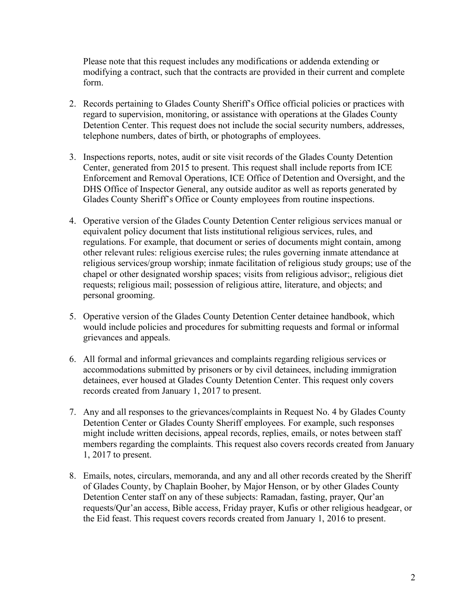Please note that this request includes any modifications or addenda extending or modifying a contract, such that the contracts are provided in their current and complete form.

- 2. Records pertaining to Glades County Sheriff's Office official policies or practices with regard to supervision, monitoring, or assistance with operations at the Glades County Detention Center. This request does not include the social security numbers, addresses, telephone numbers, dates of birth, or photographs of employees.
- 3. Inspections reports, notes, audit or site visit records of the Glades County Detention Center, generated from 2015 to present. This request shall include reports from ICE Enforcement and Removal Operations, ICE Office of Detention and Oversight, and the DHS Office of Inspector General, any outside auditor as well as reports generated by Glades County Sheriff's Office or County employees from routine inspections.
- 4. Operative version of the Glades County Detention Center religious services manual or equivalent policy document that lists institutional religious services, rules, and regulations. For example, that document or series of documents might contain, among other relevant rules: religious exercise rules; the rules governing inmate attendance at religious services/group worship; inmate facilitation of religious study groups; use of the chapel or other designated worship spaces; visits from religious advisor;, religious diet requests; religious mail; possession of religious attire, literature, and objects; and personal grooming.
- 5. Operative version of the Glades County Detention Center detainee handbook, which would include policies and procedures for submitting requests and formal or informal grievances and appeals.
- 6. All formal and informal grievances and complaints regarding religious services or accommodations submitted by prisoners or by civil detainees, including immigration detainees, ever housed at Glades County Detention Center. This request only covers records created from January 1, 2017 to present.
- 7. Any and all responses to the grievances/complaints in Request No. 4 by Glades County Detention Center or Glades County Sheriff employees. For example, such responses might include written decisions, appeal records, replies, emails, or notes between staff members regarding the complaints. This request also covers records created from January 1, 2017 to present.
- 8. Emails, notes, circulars, memoranda, and any and all other records created by the Sheriff of Glades County, by Chaplain Booher, by Major Henson, or by other Glades County Detention Center staff on any of these subjects: Ramadan, fasting, prayer, Qur'an requests/Qur'an access, Bible access, Friday prayer, Kufis or other religious headgear, or the Eid feast. This request covers records created from January 1, 2016 to present.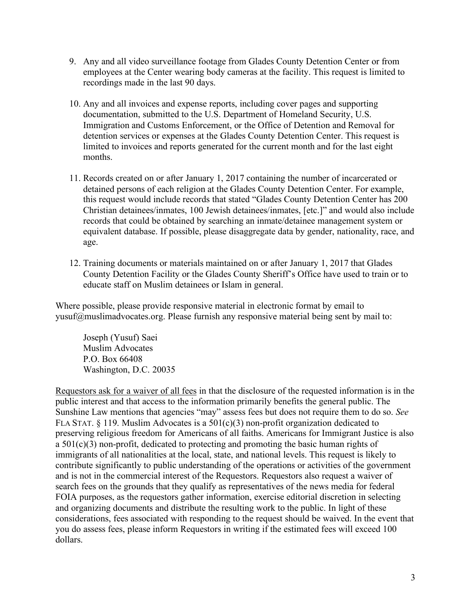- 9. Any and all video surveillance footage from Glades County Detention Center or from employees at the Center wearing body cameras at the facility. This request is limited to recordings made in the last 90 days.
- 10. Any and all invoices and expense reports, including cover pages and supporting documentation, submitted to the U.S. Department of Homeland Security, U.S. Immigration and Customs Enforcement, or the Office of Detention and Removal for detention services or expenses at the Glades County Detention Center. This request is limited to invoices and reports generated for the current month and for the last eight months.
- 11. Records created on or after January 1, 2017 containing the number of incarcerated or detained persons of each religion at the Glades County Detention Center. For example, this request would include records that stated "Glades County Detention Center has 200 Christian detainees/inmates, 100 Jewish detainees/inmates, [etc.]" and would also include records that could be obtained by searching an inmate/detainee management system or equivalent database. If possible, please disaggregate data by gender, nationality, race, and age.
- 12. Training documents or materials maintained on or after January 1, 2017 that Glades County Detention Facility or the Glades County Sheriff's Office have used to train or to educate staff on Muslim detainees or Islam in general.

Where possible, please provide responsive material in electronic format by email to yusuf@muslimadvocates.org. Please furnish any responsive material being sent by mail to:

Joseph (Yusuf) Saei Muslim Advocates P.O. Box 66408 Washington, D.C. 20035

Requestors ask for a waiver of all fees in that the disclosure of the requested information is in the public interest and that access to the information primarily benefits the general public. The Sunshine Law mentions that agencies "may" assess fees but does not require them to do so. *See*  FLA STAT. § 119. Muslim Advocates is a 501(c)(3) non-profit organization dedicated to preserving religious freedom for Americans of all faiths. Americans for Immigrant Justice is also a 501(c)(3) non-profit, dedicated to protecting and promoting the basic human rights of immigrants of all nationalities at the local, state, and national levels. This request is likely to contribute significantly to public understanding of the operations or activities of the government and is not in the commercial interest of the Requestors. Requestors also request a waiver of search fees on the grounds that they qualify as representatives of the news media for federal FOIA purposes, as the requestors gather information, exercise editorial discretion in selecting and organizing documents and distribute the resulting work to the public. In light of these considerations, fees associated with responding to the request should be waived. In the event that you do assess fees, please inform Requestors in writing if the estimated fees will exceed 100 dollars.